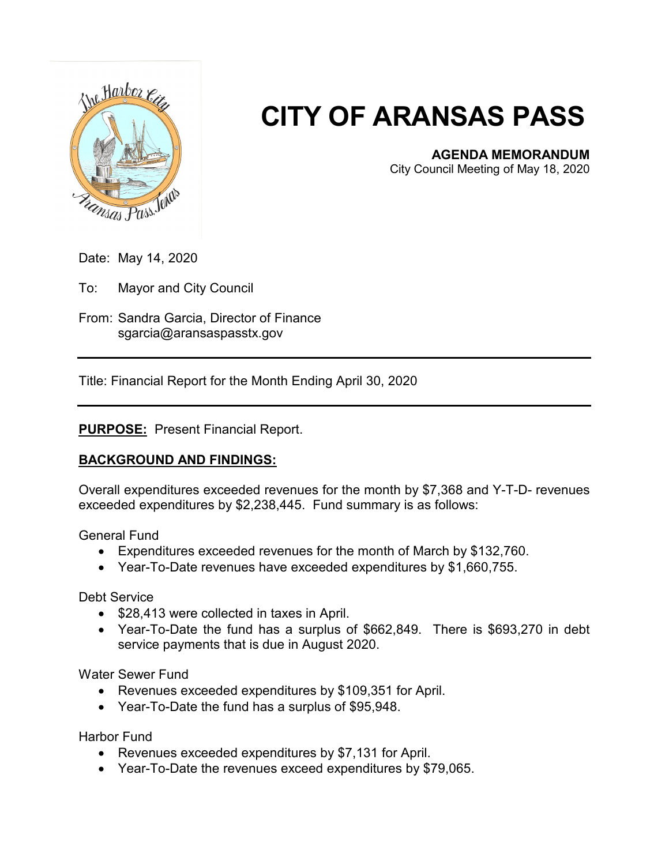

# **CITY OF ARANSAS PASS**

## **AGENDA MEMORANDUM**

City Council Meeting of May 18, 2020

- Date: May 14, 2020
- To: Mayor and City Council
- From: Sandra Garcia, Director of Finance sgarcia@aransaspasstx.gov

Title: Financial Report for the Month Ending April 30, 2020

### **PURPOSE:** Present Financial Report.

### **BACKGROUND AND FINDINGS:**

Overall expenditures exceeded revenues for the month by \$7,368 and Y-T-D- revenues exceeded expenditures by \$2,238,445. Fund summary is as follows:

General Fund

- Expenditures exceeded revenues for the month of March by \$132,760.
- Year-To-Date revenues have exceeded expenditures by \$1,660,755.

Debt Service

- \$28,413 were collected in taxes in April.
- Year-To-Date the fund has a surplus of \$662,849. There is \$693,270 in debt service payments that is due in August 2020.

Water Sewer Fund

- Revenues exceeded expenditures by \$109,351 for April.
- Year-To-Date the fund has a surplus of \$95,948.

Harbor Fund

- Revenues exceeded expenditures by \$7,131 for April.
- Year-To-Date the revenues exceed expenditures by \$79,065.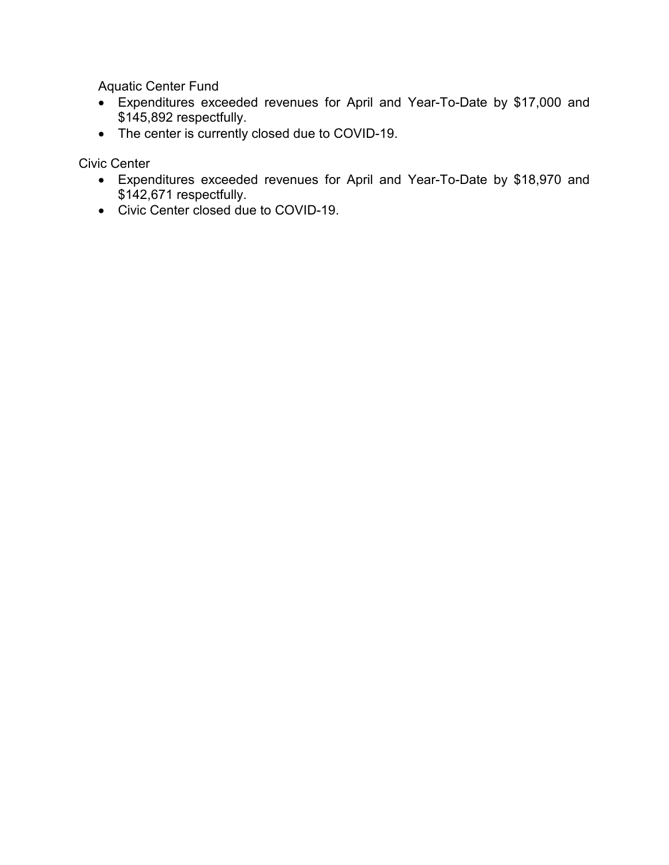Aquatic Center Fund

- Expenditures exceeded revenues for April and Year-To-Date by \$17,000 and \$145,892 respectfully.
- The center is currently closed due to COVID-19.

Civic Center

- Expenditures exceeded revenues for April and Year-To-Date by \$18,970 and \$142,671 respectfully.
- Civic Center closed due to COVID-19.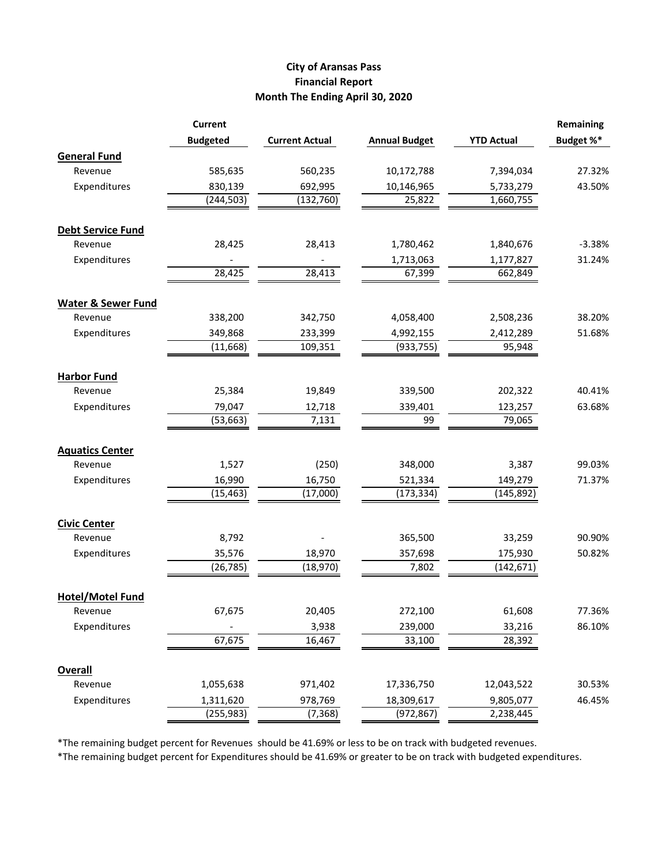#### **City of Aransas Pass Financial Report Month The Ending April 30, 2020**

|                               | <b>Current</b>      |                       |                      |                   | Remaining |
|-------------------------------|---------------------|-----------------------|----------------------|-------------------|-----------|
|                               | <b>Budgeted</b>     | <b>Current Actual</b> | <b>Annual Budget</b> | <b>YTD Actual</b> | Budget %* |
| <b>General Fund</b>           |                     |                       |                      |                   |           |
| Revenue                       | 585,635             | 560,235               | 10,172,788           | 7,394,034         | 27.32%    |
| Expenditures                  | 830,139             | 692,995               | 10,146,965           | 5,733,279         | 43.50%    |
|                               | (244, 503)          | (132, 760)            | 25,822               | 1,660,755         |           |
|                               |                     |                       |                      |                   |           |
| <b>Debt Service Fund</b>      |                     |                       |                      |                   |           |
| Revenue                       | 28,425              | 28,413                | 1,780,462            | 1,840,676         | $-3.38%$  |
| Expenditures                  |                     |                       | 1,713,063            | 1,177,827         | 31.24%    |
|                               | 28,425              | 28,413                | 67,399               | 662,849           |           |
| <b>Water &amp; Sewer Fund</b> |                     |                       |                      |                   |           |
| Revenue                       | 338,200             | 342,750               | 4,058,400            | 2,508,236         | 38.20%    |
| Expenditures                  | 349,868             | 233,399               | 4,992,155            | 2,412,289         | 51.68%    |
|                               | (11, 668)           | 109,351               | (933, 755)           | 95,948            |           |
|                               |                     |                       |                      |                   |           |
| <b>Harbor Fund</b>            |                     |                       |                      |                   | 40.41%    |
| Revenue<br>Expenditures       | 25,384              | 19,849                | 339,500              | 202,322           |           |
|                               | 79,047<br>(53, 663) | 12,718<br>7,131       | 339,401<br>99        | 123,257<br>79,065 | 63.68%    |
|                               |                     |                       |                      |                   |           |
| <b>Aquatics Center</b>        |                     |                       |                      |                   |           |
| Revenue                       | 1,527               | (250)                 | 348,000              | 3,387             | 99.03%    |
| Expenditures                  | 16,990              | 16,750                | 521,334              | 149,279           | 71.37%    |
|                               | (15, 463)           | (17,000)              | (173, 334)           | (145, 892)        |           |
| <b>Civic Center</b>           |                     |                       |                      |                   |           |
| Revenue                       | 8,792               |                       | 365,500              | 33,259            | 90.90%    |
| Expenditures                  | 35,576              | 18,970                | 357,698              | 175,930           | 50.82%    |
|                               | (26, 785)           | (18,970)              | 7,802                | (142, 671)        |           |
|                               |                     |                       |                      |                   |           |
| <b>Hotel/Motel Fund</b>       |                     |                       |                      |                   |           |
| Revenue                       | 67,675              | 20,405                | 272,100              | 61,608            | 77.36%    |
| Expenditures                  |                     | 3,938                 | 239,000              | 33,216            | 86.10%    |
|                               | 67,675              | 16,467                | 33,100               | 28,392            |           |
| <b>Overall</b>                |                     |                       |                      |                   |           |
| Revenue                       | 1,055,638           | 971,402               | 17,336,750           | 12,043,522        | 30.53%    |
| Expenditures                  | 1,311,620           | 978,769               | 18,309,617           | 9,805,077         | 46.45%    |
|                               | (255, 983)          | (7, 368)              | (972, 867)           | 2,238,445         |           |

\*The remaining budget percent for Revenues should be 41.69% or less to be on track with budgeted revenues.

\*The remaining budget percent for Expenditures should be 41.69% or greater to be on track with budgeted expenditures.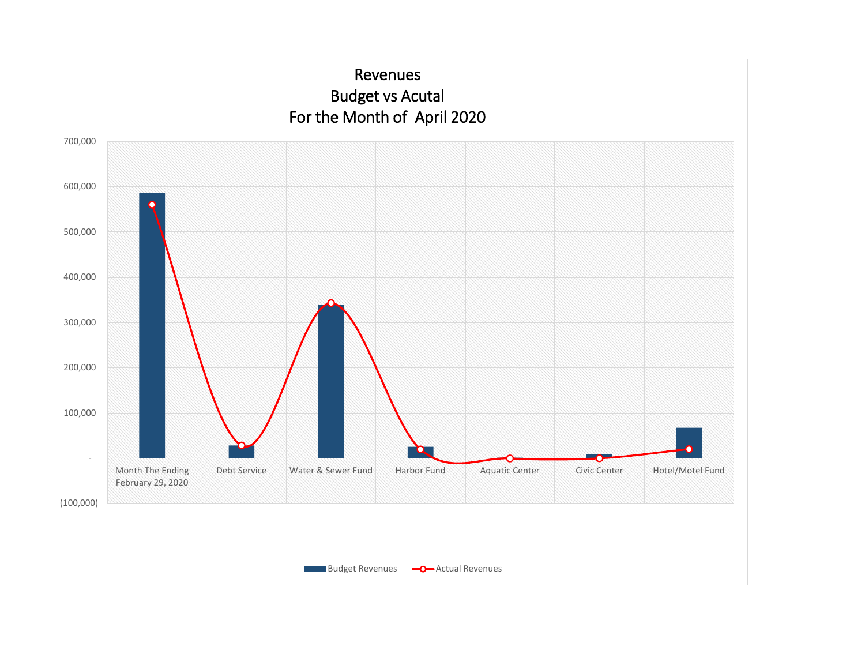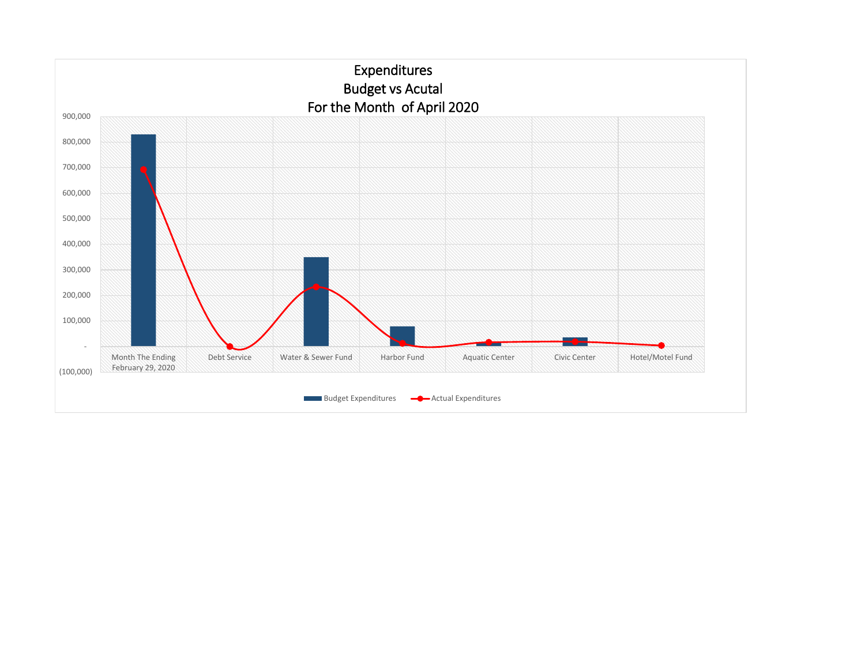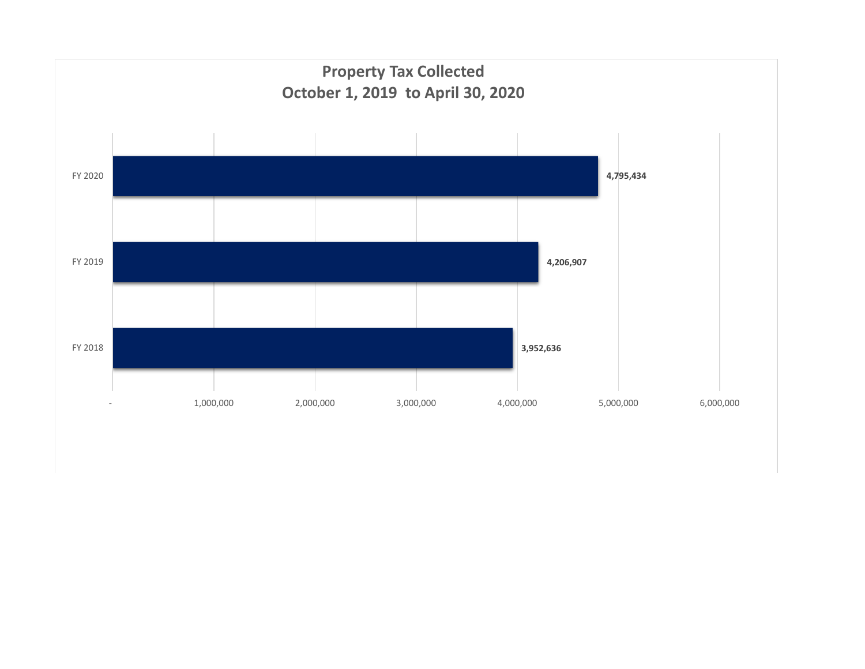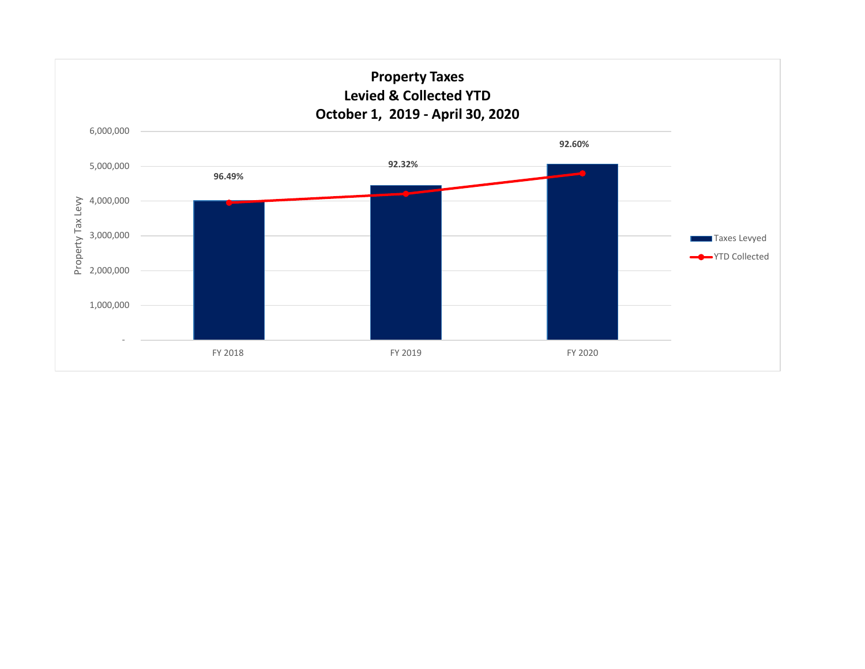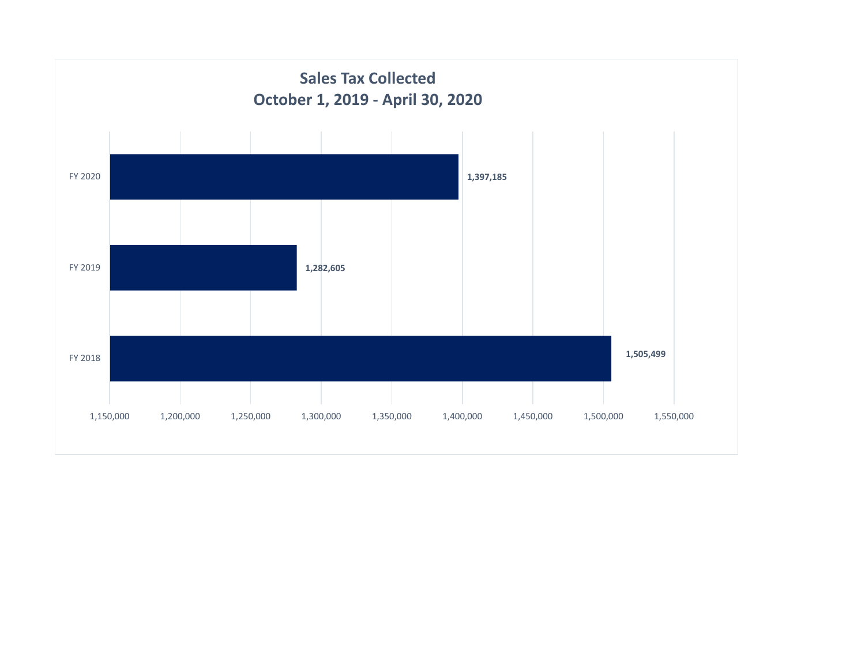